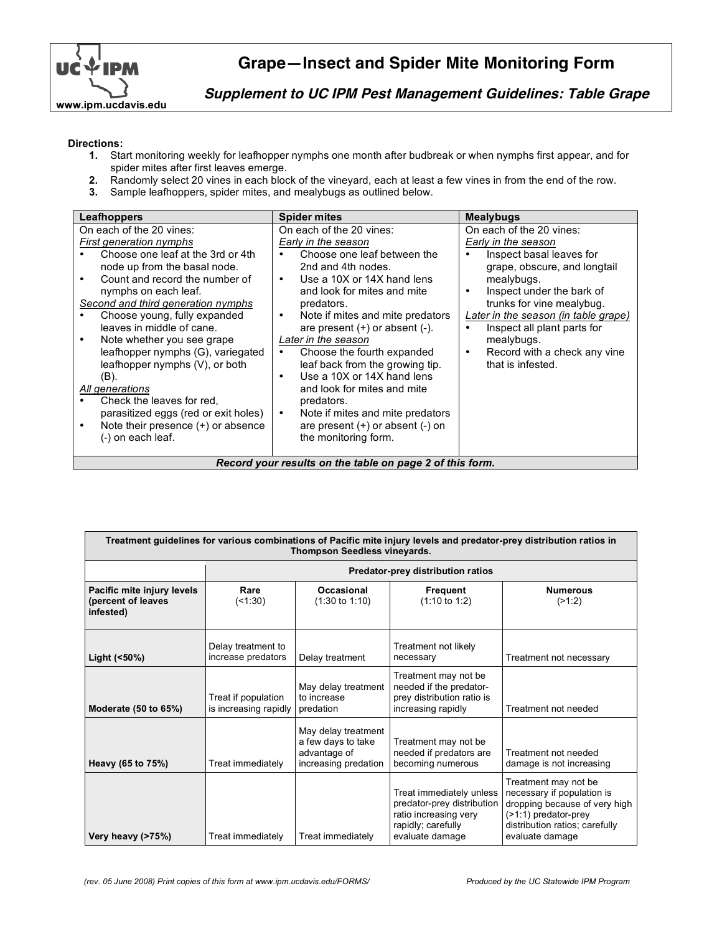

## **Grape—Insect and Spider Mite Monitoring Form**

**Supplement to UC IPM Pest Management Guidelines: Table Grape**

## **Directions:**

- **1.** Start monitoring weekly for leafhopper nymphs one month after budbreak or when nymphs first appear, and for spider mites after first leaves emerge.
- **2.** Randomly select 20 vines in each block of the vineyard, each at least a few vines in from the end of the row.
- **3.** Sample leafhoppers, spider mites, and mealybugs as outlined below.

| Leafhoppers                                                                                                                                                                                                                                                                                                                                                                                                                                                                                                                                           | <b>Spider mites</b>                                                                                                                                                                                                                                                                                                                                                                                                                                                                                                                                                                        | <b>Mealybugs</b>                                                                                                                                                                                                                                                                                                                                |  |  |  |  |  |
|-------------------------------------------------------------------------------------------------------------------------------------------------------------------------------------------------------------------------------------------------------------------------------------------------------------------------------------------------------------------------------------------------------------------------------------------------------------------------------------------------------------------------------------------------------|--------------------------------------------------------------------------------------------------------------------------------------------------------------------------------------------------------------------------------------------------------------------------------------------------------------------------------------------------------------------------------------------------------------------------------------------------------------------------------------------------------------------------------------------------------------------------------------------|-------------------------------------------------------------------------------------------------------------------------------------------------------------------------------------------------------------------------------------------------------------------------------------------------------------------------------------------------|--|--|--|--|--|
| On each of the 20 vines:<br>First generation nymphs<br>Choose one leaf at the 3rd or 4th<br>node up from the basal node.<br>Count and record the number of<br>nymphs on each leaf.<br>Second and third generation nymphs<br>Choose young, fully expanded<br>leaves in middle of cane.<br>Note whether you see grape<br>leafhopper nymphs (G), variegated<br>leafhopper nymphs (V), or both<br>(B).<br>All generations<br>Check the leaves for red.<br>parasitized eggs (red or exit holes)<br>Note their presence (+) or absence<br>(-) on each leaf. | On each of the 20 vines:<br>Early in the season<br>Choose one leaf between the<br>2nd and 4th nodes.<br>Use a 10X or 14X hand lens<br>$\bullet$<br>and look for mites and mite<br>predators.<br>Note if mites and mite predators<br>$\bullet$<br>are present $(+)$ or absent $(-)$ .<br>Later in the season<br>Choose the fourth expanded<br>٠<br>leaf back from the growing tip.<br>Use a 10X or 14X hand lens<br>$\bullet$<br>and look for mites and mite<br>predators.<br>Note if mites and mite predators<br>$\bullet$<br>are present $(+)$ or absent $(-)$ on<br>the monitoring form. | On each of the 20 vines:<br>Early in the season<br>Inspect basal leaves for<br>grape, obscure, and longtail<br>mealybugs.<br>Inspect under the bark of<br>$\bullet$<br>trunks for vine mealybug.<br>Later in the season (in table grape)<br>Inspect all plant parts for<br>mealybugs.<br>Record with a check any vine<br>٠<br>that is infested. |  |  |  |  |  |
| Record your results on the table on page 2 of this form.                                                                                                                                                                                                                                                                                                                                                                                                                                                                                              |                                                                                                                                                                                                                                                                                                                                                                                                                                                                                                                                                                                            |                                                                                                                                                                                                                                                                                                                                                 |  |  |  |  |  |

| Treatment guidelines for various combinations of Pacific mite injury levels and predator-prey distribution ratios in<br>Thompson Seedless vineyards. |                                              |                                                                                   |                                                                                                                          |                                                                                                                                                                     |  |  |  |
|------------------------------------------------------------------------------------------------------------------------------------------------------|----------------------------------------------|-----------------------------------------------------------------------------------|--------------------------------------------------------------------------------------------------------------------------|---------------------------------------------------------------------------------------------------------------------------------------------------------------------|--|--|--|
|                                                                                                                                                      | Predator-prey distribution ratios            |                                                                                   |                                                                                                                          |                                                                                                                                                                     |  |  |  |
| Pacific mite injury levels<br>(percent of leaves<br>infested)                                                                                        | Rare<br>(1:30)                               | Occasional<br>$(1:30 \text{ to } 1:10)$                                           | Frequent<br>$(1:10 \text{ to } 1:2)$                                                                                     | <b>Numerous</b><br>(21:2)                                                                                                                                           |  |  |  |
| Light (<50%)                                                                                                                                         | Delay treatment to<br>increase predators     | Delay treatment                                                                   | Treatment not likely<br>necessary                                                                                        | Treatment not necessary                                                                                                                                             |  |  |  |
| Moderate (50 to 65%)                                                                                                                                 | Treat if population<br>is increasing rapidly | May delay treatment<br>to increase<br>predation                                   | Treatment may not be<br>needed if the predator-<br>prey distribution ratio is<br>increasing rapidly                      | Treatment not needed                                                                                                                                                |  |  |  |
| Heavy (65 to 75%)                                                                                                                                    | Treat immediately                            | May delay treatment<br>a few days to take<br>advantage of<br>increasing predation | Treatment may not be<br>needed if predators are<br>becoming numerous                                                     | Treatment not needed<br>damage is not increasing                                                                                                                    |  |  |  |
| Very heavy (>75%)                                                                                                                                    | Treat immediately                            | Treat immediately                                                                 | Treat immediately unless<br>predator-prey distribution<br>ratio increasing very<br>rapidly; carefully<br>evaluate damage | Treatment may not be<br>necessary if population is<br>dropping because of very high<br>$($ >1:1) predator-prey<br>distribution ratios; carefully<br>evaluate damage |  |  |  |